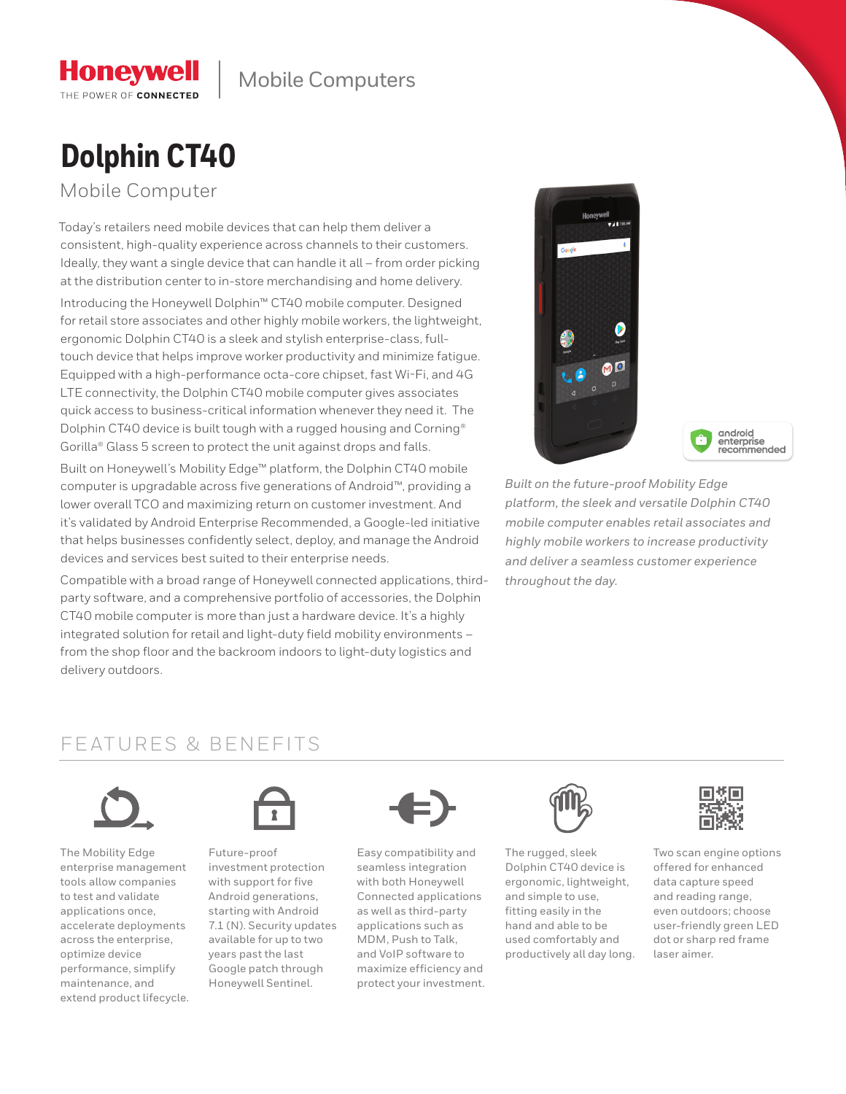# **Dolphin CT40**

Mobile Computer

**Honeywell** THE POWER OF CONNECTED

Today's retailers need mobile devices that can help them deliver a consistent, high-quality experience across channels to their customers. Ideally, they want a single device that can handle it all – from order picking at the distribution center to in-store merchandising and home delivery. Introducing the Honeywell Dolphin™ CT40 mobile computer. Designed for retail store associates and other highly mobile workers, the lightweight, ergonomic Dolphin CT40 is a sleek and stylish enterprise-class, fulltouch device that helps improve worker productivity and minimize fatigue. Equipped with a high-performance octa-core chipset, fast Wi-Fi, and 4G LTE connectivity, the Dolphin CT40 mobile computer gives associates quick access to business-critical information whenever they need it. The Dolphin CT40 device is built tough with a rugged housing and Corning® Gorilla® Glass 5 screen to protect the unit against drops and falls.

Built on Honeywell's Mobility Edge™ platform, the Dolphin CT40 mobile computer is upgradable across five generations of Android™, providing a lower overall TCO and maximizing return on customer investment. And it's validated by Android Enterprise Recommended, a Google-led initiative that helps businesses confidently select, deploy, and manage the Android devices and services best suited to their enterprise needs.

Compatible with a broad range of Honeywell connected applications, thirdparty software, and a comprehensive portfolio of accessories, the Dolphin CT40 mobile computer is more than just a hardware device. It's a highly integrated solution for retail and light-duty field mobility environments – from the shop floor and the backroom indoors to light-duty logistics and delivery outdoors.



android<br>enterprise recommended

*Built on the future-proof Mobility Edge platform, the sleek and versatile Dolphin CT40 mobile computer enables retail associates and highly mobile workers to increase productivity and deliver a seamless customer experience throughout the day.*

### FEATURES & BENEFITS



The Mobility Edge enterprise management tools allow companies to test and validate applications once, accelerate deployments across the enterprise, optimize device performance, simplify maintenance, and extend product lifecycle.



Future-proof investment protection with support for five Android generations, starting with Android 7.1 (N). Security updates available for up to two years past the last Google patch through Honeywell Sentinel.



Easy compatibility and seamless integration with both Honeywell Connected applications as well as third-party applications such as MDM, Push to Talk, and VoIP software to maximize efficiency and protect your investment.



The rugged, sleek Dolphin CT40 device is ergonomic, lightweight, and simple to use, fitting easily in the hand and able to be used comfortably and productively all day long.



Two scan engine options offered for enhanced data capture speed and reading range, even outdoors; choose user-friendly green LED dot or sharp red frame laser aimer.